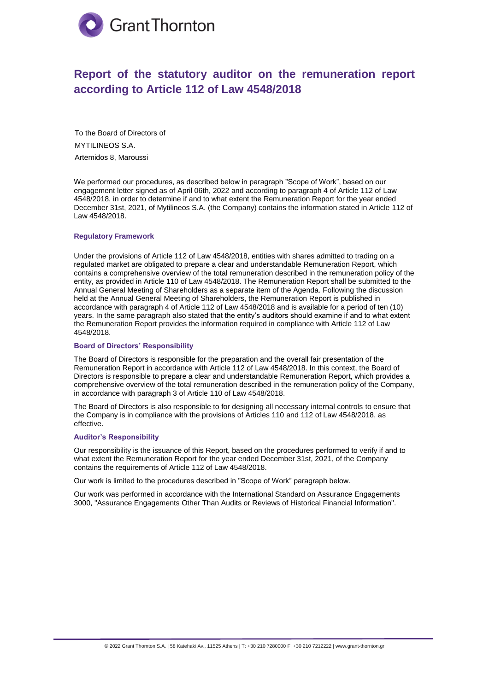

# **Report of the statutory auditor on the remuneration report according to Article 112 of Law 4548/2018**

To the Board of Directors of MYTILINEOS S.A. Artemidos 8, Maroussi

We performed our procedures, as described below in paragraph "Scope of Work", based on our engagement letter signed as of April 06th, 2022 and according to paragraph 4 of Article 112 of Law 4548/2018, in order to determine if and to what extent the Remuneration Report for the year ended December 31st, 2021, of Mytilineos S.A. (the Company) contains the information stated in Article 112 of Law 4548/2018.

#### **Regulatory Framework**

Under the provisions of Article 112 of Law 4548/2018, entities with shares admitted to trading on a regulated market are obligated to prepare a clear and understandable Remuneration Report, which contains a comprehensive overview of the total remuneration described in the remuneration policy of the entity, as provided in Article 110 of Law 4548/2018. The Remuneration Report shall be submitted to the Annual General Meeting of Shareholders as a separate item of the Agenda. Following the discussion held at the Annual General Meeting of Shareholders, the Remuneration Report is published in accordance with paragraph 4 of Article 112 of Law 4548/2018 and is available for a period of ten (10) years. In the same paragraph also stated that the entity's auditors should examine if and to what extent the Remuneration Report provides the information required in compliance with Article 112 of Law 4548/2018.

#### **Board of Directors' Responsibility**

The Board of Directors is responsible for the preparation and the overall fair presentation of the Remuneration Report in accordance with Article 112 of Law 4548/2018. In this context, the Board of Directors is responsible to prepare a clear and understandable Remuneration Report, which provides a comprehensive overview of the total remuneration described in the remuneration policy of the Company, in accordance with paragraph 3 of Article 110 of Law 4548/2018.

The Board of Directors is also responsible to for designing all necessary internal controls to ensure that the Company is in compliance with the provisions of Articles 110 and 112 of Law 4548/2018, as effective.

## **Auditor's Responsibility**

Our responsibility is the issuance of this Report, based on the procedures performed to verify if and to what extent the Remuneration Report for the year ended December 31st, 2021, of the Company contains the requirements of Article 112 of Law 4548/2018.

Our work is limited to the procedures described in "Scope of Work" paragraph below.

Our work was performed in accordance with the International Standard on Assurance Engagements 3000, "Assurance Engagements Other Than Audits or Reviews of Historical Financial Information".